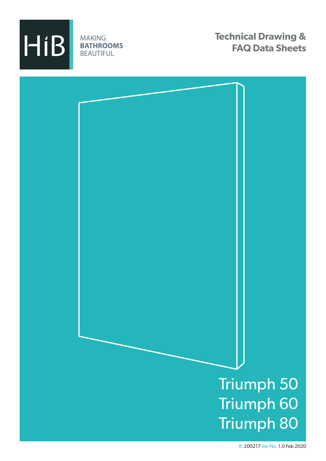

**MAKING BATHROOMS BEAUTIFUL** 

**Technical Drawing & FAQ Data Sheets**

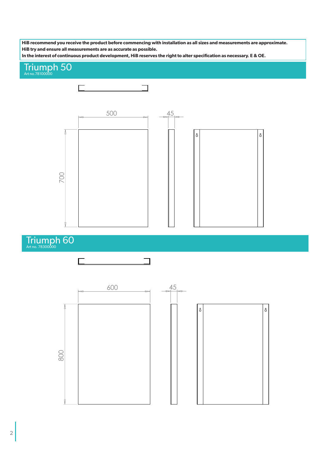**HiB recommend you receive the product before commencing with installation as all sizes and measurements are approximate. HiB try and ensure all measurements are as accurate as possible.**

**In the interest of continuous product development, HiB reserves the right to alter specification as necessary. E & OE.**

## Triumph 50



Triumph 60



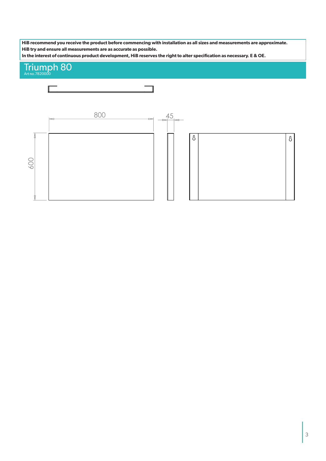**HiB recommend you receive the product before commencing with installation as all sizes and measurements are approximate. HiB try and ensure all measurements are as accurate as possible.**

**In the interest of continuous product development, HiB reserves the right to alter specification as necessary. E & OE.**

## Triumph 80